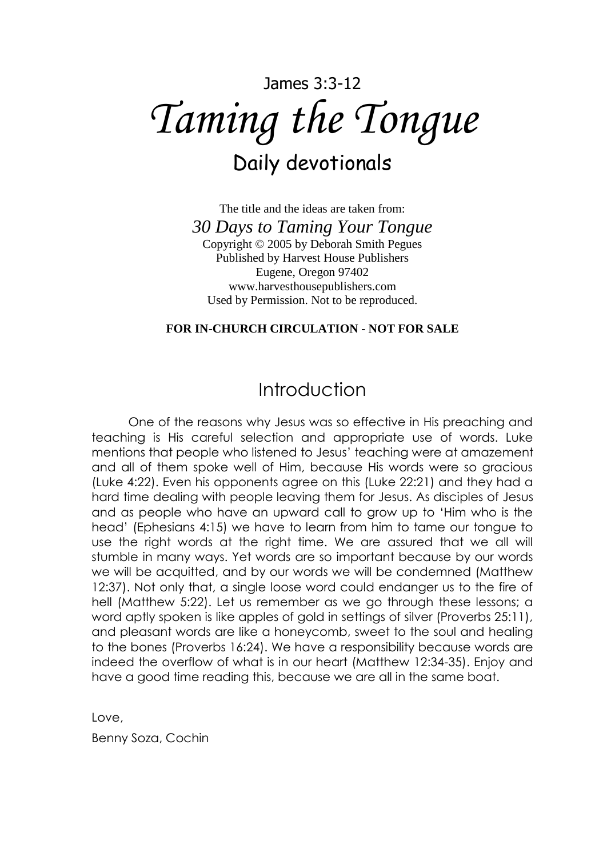# James 3:3-12 *Taming the Tongue* Daily devotionals

The title and the ideas are taken from: *30 Days to Taming Your Tongue* Copyright © 2005 by Deborah Smith Pegues Published by Harvest House Publishers Eugene, Oregon 97402 www.harvesthousepublishers.com Used by Permission. Not to be reproduced.

#### **FOR IN-CHURCH CIRCULATION - NOT FOR SALE**

### Introduction

One of the reasons why Jesus was so effective in His preaching and teaching is His careful selection and appropriate use of words. Luke mentions that people who listened to Jesus' teaching were at amazement and all of them spoke well of Him, because His words were so gracious (Luke 4:22). Even his opponents agree on this (Luke 22:21) and they had a hard time dealing with people leaving them for Jesus. As disciples of Jesus and as people who have an upward call to grow up to 'Him who is the head' (Ephesians 4:15) we have to learn from him to tame our tongue to use the right words at the right time. We are assured that we all will stumble in many ways. Yet words are so important because by our words we will be acquitted, and by our words we will be condemned (Matthew 12:37). Not only that, a single loose word could endanger us to the fire of hell (Matthew 5:22). Let us remember as we go through these lessons; a word aptly spoken is like apples of gold in settings of silver (Proverbs 25:11), and pleasant words are like a honeycomb, sweet to the soul and healing to the bones (Proverbs 16:24). We have a responsibility because words are indeed the overflow of what is in our heart (Matthew 12:34-35). Enjoy and have a good time reading this, because we are all in the same boat.

Love,

Benny Soza, Cochin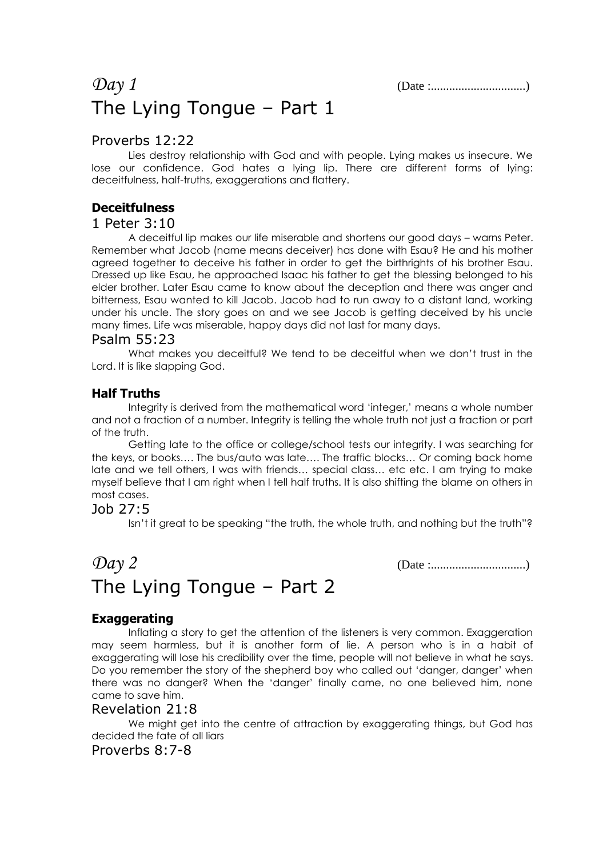### *Day 1* (Date :...............................) The Lying Tongue – Part 1

#### Proverbs 12:22

Lies destroy relationship with God and with people. Lying makes us insecure. We lose our confidence. God hates a lying lip. There are different forms of lying: deceitfulness, half-truths, exaggerations and flattery.

### **Deceitfulness**

#### 1 Peter 3:10

A deceitful lip makes our life miserable and shortens our good days – warns Peter. Remember what Jacob (name means deceiver) has done with Esau? He and his mother agreed together to deceive his father in order to get the birthrights of his brother Esau. Dressed up like Esau, he approached Isaac his father to get the blessing belonged to his elder brother. Later Esau came to know about the deception and there was anger and bitterness, Esau wanted to kill Jacob. Jacob had to run away to a distant land, working under his uncle. The story goes on and we see Jacob is getting deceived by his uncle many times. Life was miserable, happy days did not last for many days.

#### Psalm 55:23

What makes you deceitful? We tend to be deceitful when we don't trust in the Lord. It is like slapping God.

#### **Half Truths**

Integrity is derived from the mathematical word 'integer,' means a whole number and not a fraction of a number. Integrity is telling the whole truth not just a fraction or part of the truth.

Getting late to the office or college/school tests our integrity. I was searching for the keys, or books…. The bus/auto was late…. The traffic blocks… Or coming back home late and we tell others, I was with friends… special class… etc etc. I am trying to make myself believe that I am right when I tell half truths. It is also shifting the blame on others in most cases.

#### Job 27:5

Isn't it great to be speaking "the truth, the whole truth, and nothing but the truth"?

## *Day 2* (Date :...............................) The Lying Tongue – Part 2

#### **Exaggerating**

Inflating a story to get the attention of the listeners is very common. Exaggeration may seem harmless, but it is another form of lie. A person who is in a habit of exaggerating will lose his credibility over the time, people will not believe in what he says. Do you remember the story of the shepherd boy who called out 'danger, danger' when there was no danger? When the 'danger' finally came, no one believed him, none came to save him.

#### Revelation 21:8

We might get into the centre of attraction by exaggerating things, but God has decided the fate of all liars

#### Proverbs 8:7-8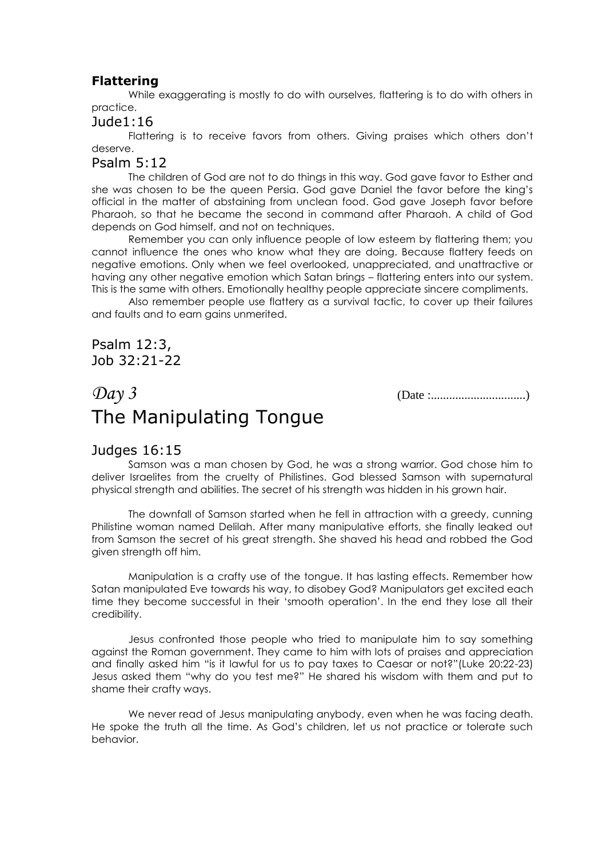#### **Flattering**

While exaggerating is mostly to do with ourselves, flattering is to do with others in practice.

#### Jude1:16

Flattering is to receive favors from others. Giving praises which others don't deserve.

#### Psalm 5:12

The children of God are not to do things in this way. God gave favor to Esther and she was chosen to be the queen Persia. God gave Daniel the favor before the king's official in the matter of abstaining from unclean food. God gave Joseph favor before Pharaoh, so that he became the second in command after Pharaoh. A child of God depends on God himself, and not on techniques.

Remember you can only influence people of low esteem by flattering them; you cannot influence the ones who know what they are doing. Because flattery feeds on negative emotions. Only when we feel overlooked, unappreciated, and unattractive or having any other negative emotion which Satan brings – flattering enters into our system. This is the same with others. Emotionally healthy people appreciate sincere compliments.

Also remember people use flattery as a survival tactic, to cover up their failures and faults and to earn gains unmerited.

Psalm 12:3, Job 32:21-22

### *Day 3* (Date :...............................) The Manipulating Tongue

#### Judges 16:15

Samson was a man chosen by God, he was a strong warrior. God chose him to deliver Israelites from the cruelty of Philistines. God blessed Samson with supernatural physical strength and abilities. The secret of his strength was hidden in his grown hair.

The downfall of Samson started when he fell in attraction with a greedy, cunning Philistine woman named Delilah. After many manipulative efforts, she finally leaked out from Samson the secret of his great strength. She shaved his head and robbed the God given strength off him.

Manipulation is a crafty use of the tongue. It has lasting effects. Remember how Satan manipulated Eve towards his way, to disobey God? Manipulators get excited each time they become successful in their 'smooth operation'. In the end they lose all their credibility.

Jesus confronted those people who tried to manipulate him to say something against the Roman government. They came to him with lots of praises and appreciation and finally asked him "is it lawful for us to pay taxes to Caesar or not?"(Luke 20:22-23) Jesus asked them "why do you test me?" He shared his wisdom with them and put to shame their crafty ways.

We never read of Jesus manipulating anybody, even when he was facing death. He spoke the truth all the time. As God's children, let us not practice or tolerate such behavior.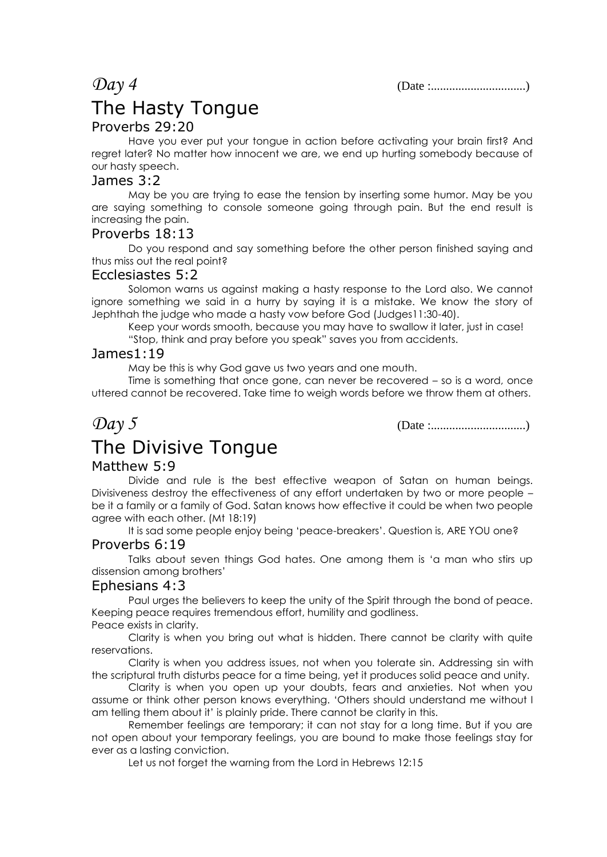*Day 4* (Date :...............................)

### The Hasty Tongue

#### Proverbs 29:20

Have you ever put your tongue in action before activating your brain first? And regret later? No matter how innocent we are, we end up hurting somebody because of our hasty speech.

#### James 3:2

May be you are trying to ease the tension by inserting some humor. May be you are saying something to console someone going through pain. But the end result is increasing the pain.

#### Proverbs 18:13

Do you respond and say something before the other person finished saying and thus miss out the real point?

#### Ecclesiastes 5:2

Solomon warns us against making a hasty response to the Lord also. We cannot ignore something we said in a hurry by saying it is a mistake. We know the story of Jephthah the judge who made a hasty vow before God (Judges11:30-40).

Keep your words smooth, because you may have to swallow it later, just in case! "Stop, think and pray before you speak" saves you from accidents.

#### James1:19

May be this is why God gave us two years and one mouth.

Time is something that once gone, can never be recovered – so is a word, once uttered cannot be recovered. Take time to weigh words before we throw them at others.

*Day 5* (Date :...............................)

## The Divisive Tongue

#### Matthew 5:9

Divide and rule is the best effective weapon of Satan on human beings. Divisiveness destroy the effectiveness of any effort undertaken by two or more people – be it a family or a family of God. Satan knows how effective it could be when two people agree with each other. (Mt 18:19)

It is sad some people enjoy being 'peace-breakers'. Question is, ARE YOU one?

#### Proverbs 6:19

Talks about seven things God hates. One among them is 'a man who stirs up dissension among brothers'

#### Ephesians 4:3

Paul urges the believers to keep the unity of the Spirit through the bond of peace. Keeping peace requires tremendous effort, humility and godliness. Peace exists in clarity.

Clarity is when you bring out what is hidden. There cannot be clarity with quite reservations.

Clarity is when you address issues, not when you tolerate sin. Addressing sin with the scriptural truth disturbs peace for a time being, yet it produces solid peace and unity.

Clarity is when you open up your doubts, fears and anxieties. Not when you assume or think other person knows everything. 'Others should understand me without I am telling them about it' is plainly pride. There cannot be clarity in this.

Remember feelings are temporary; it can not stay for a long time. But if you are not open about your temporary feelings, you are bound to make those feelings stay for ever as a lasting conviction.

Let us not forget the warning from the Lord in Hebrews 12:15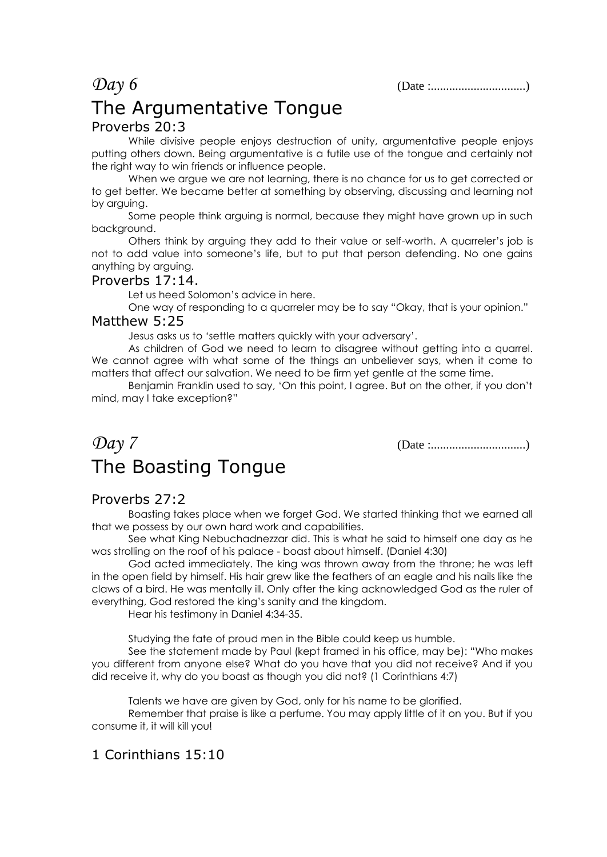*Day 6* (Date :...............................)

### The Argumentative Tongue Proverbs 20:3

While divisive people enjoys destruction of unity, argumentative people enjoys putting others down. Being argumentative is a futile use of the tongue and certainly not the right way to win friends or influence people.

When we argue we are not learning, there is no chance for us to get corrected or to get better. We became better at something by observing, discussing and learning not by arguing.

Some people think arguing is normal, because they might have grown up in such backaround.

Others think by arguing they add to their value or self-worth. A quarreler's job is not to add value into someone's life, but to put that person defending. No one gains anything by arguing.

#### Proverbs 17:14.

Let us heed Solomon's advice in here.

One way of responding to a quarreler may be to say "Okay, that is your opinion."

#### Matthew 5:25

Jesus asks us to 'settle matters quickly with your adversary'.

As children of God we need to learn to disagree without getting into a quarrel. We cannot agree with what some of the things an unbeliever says, when it come to matters that affect our salvation. We need to be firm yet gentle at the same time.

Benjamin Franklin used to say, 'On this point, I agree. But on the other, if you don't mind, may I take exception?"

### *Day 7* (Date :...............................) The Boasting Tongue

### Proverbs 27:2

Boasting takes place when we forget God. We started thinking that we earned all that we possess by our own hard work and capabilities.

See what King Nebuchadnezzar did. This is what he said to himself one day as he was strolling on the roof of his palace - boast about himself. (Daniel 4:30)

God acted immediately. The king was thrown away from the throne; he was left in the open field by himself. His hair grew like the feathers of an eagle and his nails like the claws of a bird. He was mentally ill. Only after the king acknowledged God as the ruler of everything, God restored the king's sanity and the kingdom.

Hear his testimony in Daniel 4:34-35.

Studying the fate of proud men in the Bible could keep us humble.

See the statement made by Paul (kept framed in his office, may be): "Who makes you different from anyone else? What do you have that you did not receive? And if you did receive it, why do you boast as though you did not? (1 Corinthians 4:7)

Talents we have are given by God, only for his name to be glorified.

Remember that praise is like a perfume. You may apply little of it on you. But if you consume it, it will kill you!

### 1 Corinthians 15:10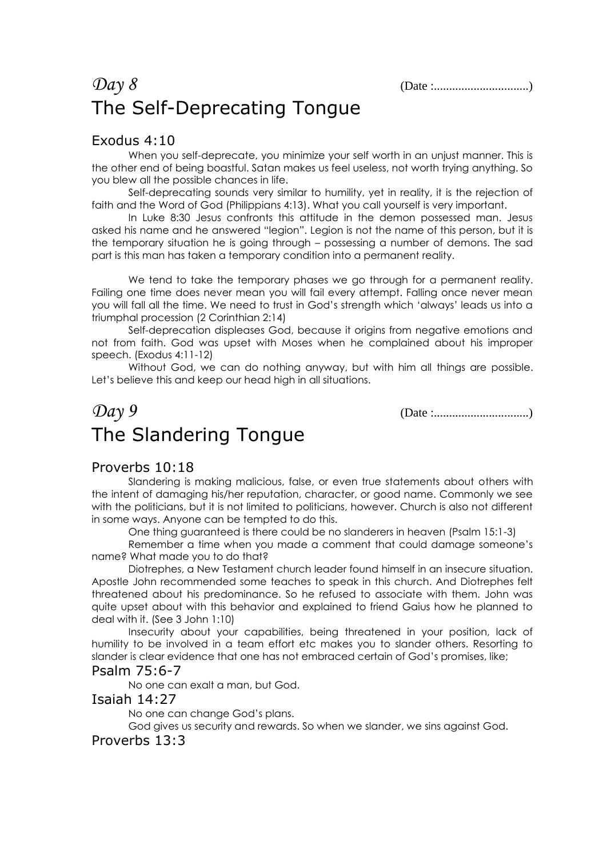### *Day 8* (Date :...............................) The Self-Deprecating Tongue

#### Exodus 4:10

When you self-deprecate, you minimize your self worth in an unjust manner. This is the other end of being boastful. Satan makes us feel useless, not worth trying anything. So you blew all the possible chances in life.

Self-deprecating sounds very similar to humility, yet in reality, it is the rejection of faith and the Word of God (Philippians 4:13). What you call yourself is very important.

In Luke 8:30 Jesus confronts this attitude in the demon possessed man. Jesus asked his name and he answered "legion". Legion is not the name of this person, but it is the temporary situation he is going through – possessing a number of demons. The sad part is this man has taken a temporary condition into a permanent reality.

We tend to take the temporary phases we go through for a permanent reality. Failing one time does never mean you will fail every attempt. Falling once never mean you will fall all the time. We need to trust in God's strength which 'always' leads us into a triumphal procession (2 Corinthian 2:14)

Self-deprecation displeases God, because it origins from negative emotions and not from faith. God was upset with Moses when he complained about his improper speech. (Exodus 4:11-12)

Without God, we can do nothing anyway, but with him all things are possible. Let's believe this and keep our head high in all situations.

### *Day 9* (Date :...............................) The Slandering Tongue

#### Proverbs 10:18

Slandering is making malicious, false, or even true statements about others with the intent of damaging his/her reputation, character, or good name. Commonly we see with the politicians, but it is not limited to politicians, however. Church is also not different in some ways. Anyone can be tempted to do this.

One thing guaranteed is there could be no slanderers in heaven (Psalm 15:1-3)

Remember a time when you made a comment that could damage someone's name? What made you to do that?

Diotrephes, a New Testament church leader found himself in an insecure situation. Apostle John recommended some teaches to speak in this church. And Diotrephes felt threatened about his predominance. So he refused to associate with them. John was quite upset about with this behavior and explained to friend Gaius how he planned to deal with it. (See 3 John 1:10)

Insecurity about your capabilities, being threatened in your position, lack of humility to be involved in a team effort etc makes you to slander others. Resorting to slander is clear evidence that one has not embraced certain of God's promises, like;

#### Psalm 75:6-7

No one can exalt a man, but God.

#### Isaiah 14:27

No one can change God's plans.

God gives us security and rewards. So when we slander, we sins against God.

#### Proverbs 13:3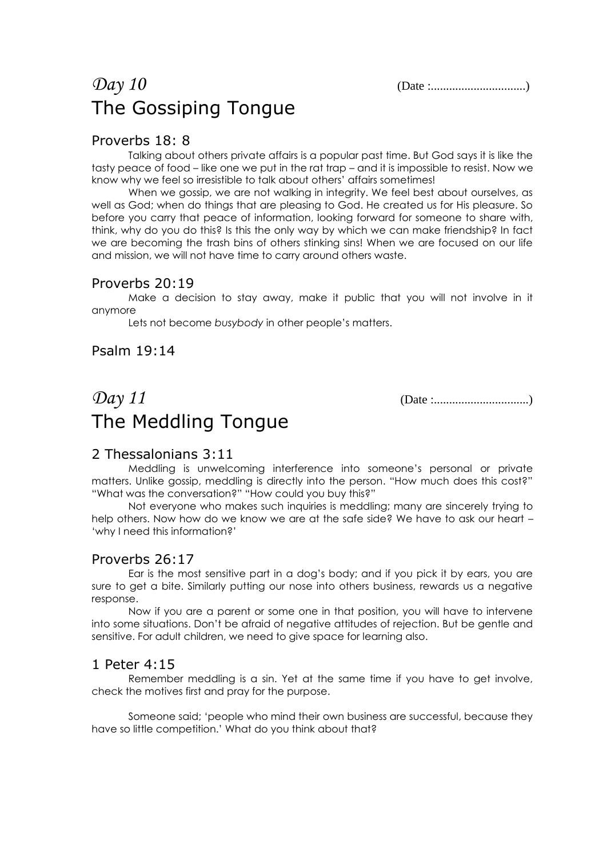### *Day 10* (Date :...............................) The Gossiping Tongue

#### Proverbs 18: 8

Talking about others private affairs is a popular past time. But God says it is like the tasty peace of food – like one we put in the rat trap – and it is impossible to resist. Now we know why we feel so irresistible to talk about others' affairs sometimes!

When we gossip, we are not walking in integrity. We feel best about ourselves, as well as God; when do things that are pleasing to God. He created us for His pleasure. So before you carry that peace of information, looking forward for someone to share with, think, why do you do this? Is this the only way by which we can make friendship? In fact we are becoming the trash bins of others stinking sins! When we are focused on our life and mission, we will not have time to carry around others waste.

#### Proverbs 20:19

Make a decision to stay away, make it public that you will not involve in it anymore

Lets not become *busybody* in other people's matters.

#### Psalm 19:14

## *Day 11* (Date :...............................) The Meddling Tongue

#### 2 Thessalonians 3:11

Meddling is unwelcoming interference into someone's personal or private matters. Unlike gossip, meddling is directly into the person. "How much does this cost?" "What was the conversation?" "How could you buy this?"

Not everyone who makes such inquiries is meddling; many are sincerely trying to help others. Now how do we know we are at the safe side? We have to ask our heart – 'why I need this information?'

#### Proverbs 26:17

Ear is the most sensitive part in a dog's body; and if you pick it by ears, you are sure to get a bite. Similarly putting our nose into others business, rewards us a negative response.

Now if you are a parent or some one in that position, you will have to intervene into some situations. Don't be afraid of negative attitudes of rejection. But be gentle and sensitive. For adult children, we need to give space for learning also.

#### 1 Peter 4:15

Remember meddling is a sin. Yet at the same time if you have to get involve, check the motives first and pray for the purpose.

Someone said; 'people who mind their own business are successful, because they have so little competition.' What do you think about that?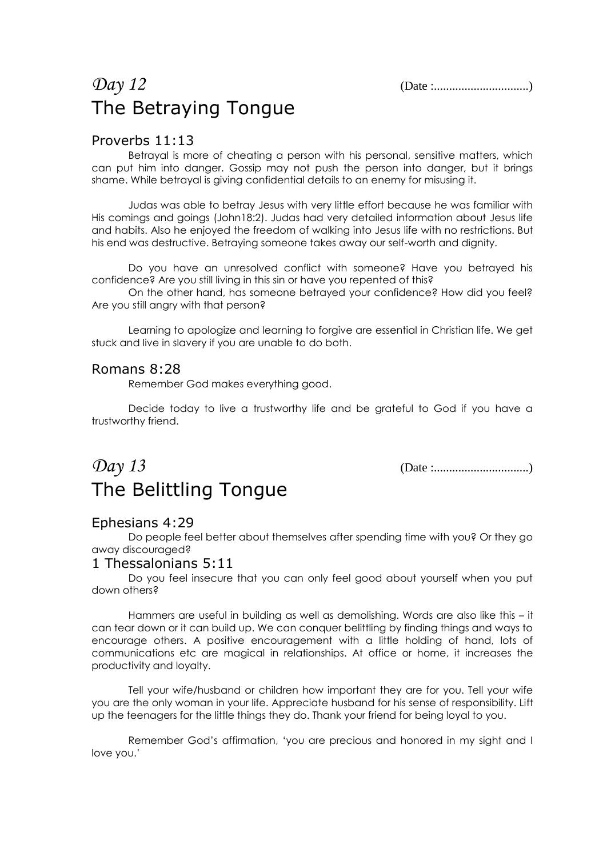## *Day 12* (Date :...............................) The Betraying Tongue

#### Proverbs 11:13

Betrayal is more of cheating a person with his personal, sensitive matters, which can put him into danger. Gossip may not push the person into danger, but it brings shame. While betrayal is giving confidential details to an enemy for misusing it.

Judas was able to betray Jesus with very little effort because he was familiar with His comings and goings (John18:2). Judas had very detailed information about Jesus life and habits. Also he enjoyed the freedom of walking into Jesus life with no restrictions. But his end was destructive. Betraying someone takes away our self-worth and dignity.

Do you have an unresolved conflict with someone? Have you betrayed his confidence? Are you still living in this sin or have you repented of this?

On the other hand, has someone betrayed your confidence? How did you feel? Are you still angry with that person?

Learning to apologize and learning to forgive are essential in Christian life. We get stuck and live in slavery if you are unable to do both.

#### Romans 8:28

Remember God makes everything good.

Decide today to live a trustworthy life and be grateful to God if you have a trustworthy friend.

### *Day 13* (Date :...............................) The Belittling Tongue

#### Ephesians 4:29

Do people feel better about themselves after spending time with you? Or they go away discouraged?

#### 1 Thessalonians 5:11

Do you feel insecure that you can only feel good about yourself when you put down others?

Hammers are useful in building as well as demolishing. Words are also like this – it can tear down or it can build up. We can conquer belittling by finding things and ways to encourage others. A positive encouragement with a little holding of hand, lots of communications etc are magical in relationships. At office or home, it increases the productivity and loyalty.

Tell your wife/husband or children how important they are for you. Tell your wife you are the only woman in your life. Appreciate husband for his sense of responsibility. Lift up the teenagers for the little things they do. Thank your friend for being loyal to you.

Remember God's affirmation, 'you are precious and honored in my sight and I love you.'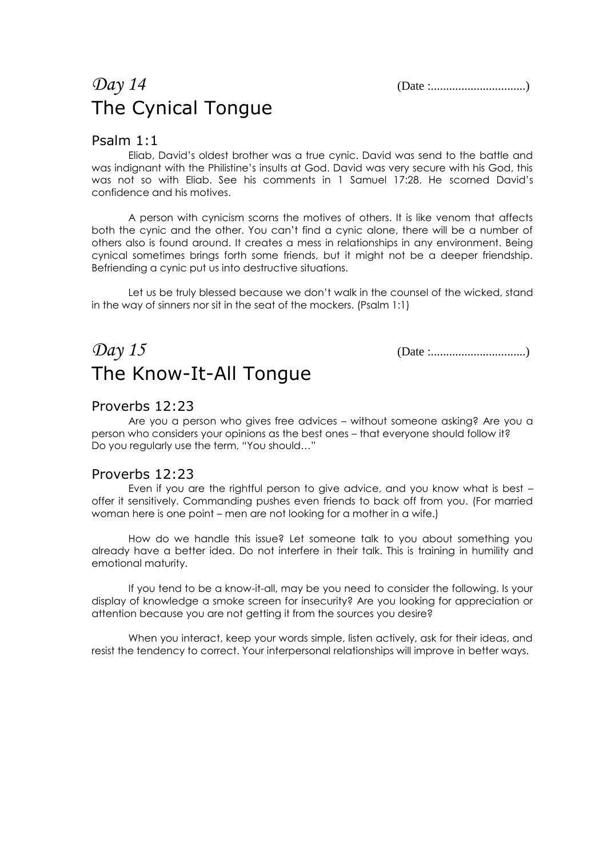### *Day 14* (Date :...............................) The Cynical Tongue

#### Psalm 1:1

Eliab, David's oldest brother was a true cynic. David was send to the battle and was indignant with the Philistine's insults at God. David was very secure with his God, this was not so with Eliab. See his comments in 1 Samuel 17:28. He scorned David's confidence and his motives.

A person with cynicism scorns the motives of others. It is like venom that affects both the cynic and the other. You can't find a cynic alone, there will be a number of others also is found around. It creates a mess in relationships in any environment. Being cynical sometimes brings forth some friends, but it might not be a deeper friendship. Befriending a cynic put us into destructive situations.

Let us be truly blessed because we don't walk in the counsel of the wicked, stand in the way of sinners nor sit in the seat of the mockers. (Psalm 1:1)

### *Day 15* (Date :...............................) The Know-It-All Tongue

#### Proverbs 12:23

Are you a person who gives free advices – without someone asking? Are you a person who considers your opinions as the best ones – that everyone should follow it? Do you regularly use the term, "You should…"

#### Proverbs 12:23

Even if you are the rightful person to give advice, and you know what is best – offer it sensitively. Commanding pushes even friends to back off from you. (For married woman here is one point – men are not looking for a mother in a wife.)

How do we handle this issue? Let someone talk to you about something you already have a better idea. Do not interfere in their talk. This is training in humility and emotional maturity.

If you tend to be a know-it-all, may be you need to consider the following. Is your display of knowledge a smoke screen for insecurity? Are you looking for appreciation or attention because you are not getting it from the sources you desire?

When you interact, keep your words simple, listen actively, ask for their ideas, and resist the tendency to correct. Your interpersonal relationships will improve in better ways.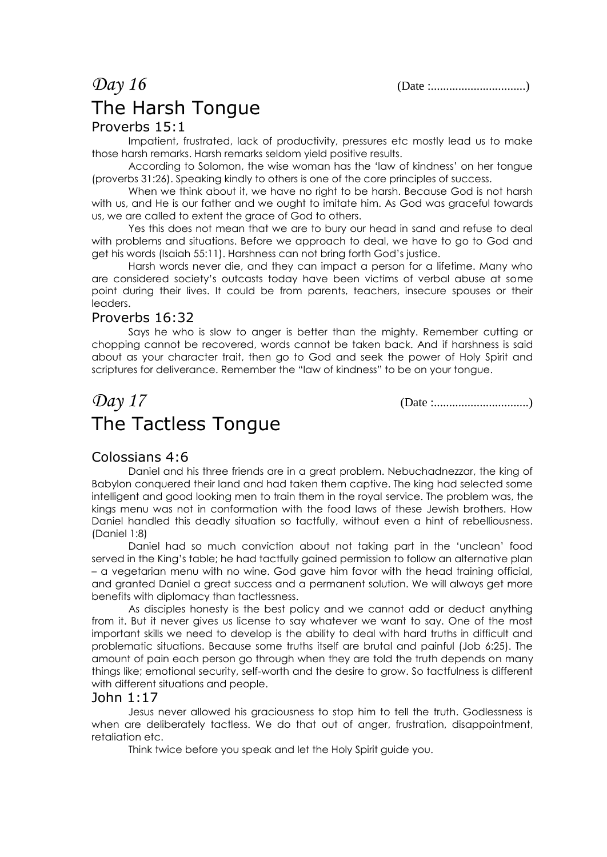*Day 16* (Date :...............................)

## The Harsh Tongue

#### Proverbs 15:1

Impatient, frustrated, lack of productivity, pressures etc mostly lead us to make those harsh remarks. Harsh remarks seldom yield positive results.

According to Solomon, the wise woman has the 'law of kindness' on her tongue (proverbs 31:26). Speaking kindly to others is one of the core principles of success.

When we think about it, we have no right to be harsh. Because God is not harsh with us, and He is our father and we ought to imitate him. As God was graceful towards us, we are called to extent the grace of God to others.

Yes this does not mean that we are to bury our head in sand and refuse to deal with problems and situations. Before we approach to deal, we have to go to God and get his words (Isaiah 55:11). Harshness can not bring forth God's justice.

Harsh words never die, and they can impact a person for a lifetime. Many who are considered society's outcasts today have been victims of verbal abuse at some point during their lives. It could be from parents, teachers, insecure spouses or their leaders.

#### Proverbs 16:32

Says he who is slow to anger is better than the mighty. Remember cutting or chopping cannot be recovered, words cannot be taken back. And if harshness is said about as your character trait, then go to God and seek the power of Holy Spirit and scriptures for deliverance. Remember the "law of kindness" to be on your tongue.

## *Day 17* (Date :...............................) The Tactless Tongue

#### Colossians 4:6

Daniel and his three friends are in a great problem. Nebuchadnezzar, the king of Babylon conquered their land and had taken them captive. The king had selected some intelligent and good looking men to train them in the royal service. The problem was, the kings menu was not in conformation with the food laws of these Jewish brothers. How Daniel handled this deadly situation so tactfully, without even a hint of rebelliousness. (Daniel 1:8)

Daniel had so much conviction about not taking part in the 'unclean' food served in the King's table; he had tactfully gained permission to follow an alternative plan – a vegetarian menu with no wine. God gave him favor with the head training official, and granted Daniel a great success and a permanent solution. We will always get more benefits with diplomacy than tactlessness.

As disciples honesty is the best policy and we cannot add or deduct anything from it. But it never gives us license to say whatever we want to say. One of the most important skills we need to develop is the ability to deal with hard truths in difficult and problematic situations. Because some truths itself are brutal and painful (Job 6:25). The amount of pain each person go through when they are told the truth depends on many things like; emotional security, self-worth and the desire to grow. So tactfulness is different with different situations and people.

#### John 1:17

Jesus never allowed his graciousness to stop him to tell the truth. Godlessness is when are deliberately tactless. We do that out of anger, frustration, disappointment, retaliation etc.

Think twice before you speak and let the Holy Spirit guide you.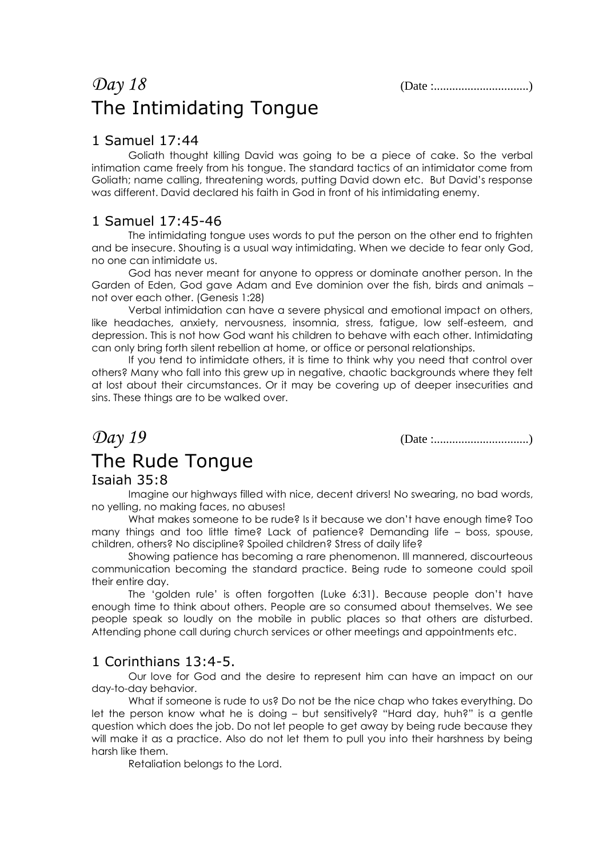### *Day 18* (Date :...............................) The Intimidating Tongue

#### 1 Samuel 17:44

Goliath thought killing David was going to be a piece of cake. So the verbal intimation came freely from his tongue. The standard tactics of an intimidator come from Goliath; name calling, threatening words, putting David down etc. But David's response was different. David declared his faith in God in front of his intimidating enemy.

### 1 Samuel 17:45-46

The intimidating tongue uses words to put the person on the other end to frighten and be insecure. Shouting is a usual way intimidating. When we decide to fear only God, no one can intimidate us.

God has never meant for anyone to oppress or dominate another person. In the Garden of Eden, God gave Adam and Eve dominion over the fish, birds and animals – not over each other. (Genesis 1:28)

Verbal intimidation can have a severe physical and emotional impact on others, like headaches, anxiety, nervousness, insomnia, stress, fatigue, low self-esteem, and depression. This is not how God want his children to behave with each other. Intimidating can only bring forth silent rebellion at home, or office or personal relationships.

If you tend to intimidate others, it is time to think why you need that control over others? Many who fall into this grew up in negative, chaotic backgrounds where they felt at lost about their circumstances. Or it may be covering up of deeper insecurities and sins. These things are to be walked over.

*Day 19* (Date :...............................)

# The Rude Tongue

#### Isaiah 35:8

Imagine our highways filled with nice, decent drivers! No swearing, no bad words, no yelling, no making faces, no abuses!

What makes someone to be rude? Is it because we don't have enough time? Too many things and too little time? Lack of patience? Demanding life – boss, spouse, children, others? No discipline? Spoiled children? Stress of daily life?

Showing patience has becoming a rare phenomenon. Ill mannered, discourteous communication becoming the standard practice. Being rude to someone could spoil their entire day.

The 'golden rule' is often forgotten (Luke 6:31). Because people don't have enough time to think about others. People are so consumed about themselves. We see people speak so loudly on the mobile in public places so that others are disturbed. Attending phone call during church services or other meetings and appointments etc.

#### 1 Corinthians 13:4-5.

Our love for God and the desire to represent him can have an impact on our day-to-day behavior.

What if someone is rude to us? Do not be the nice chap who takes everything. Do let the person know what he is doing – but sensitively? "Hard day, huh?" is a gentle question which does the job. Do not let people to get away by being rude because they will make it as a practice. Also do not let them to pull you into their harshness by being harsh like them.

Retaliation belongs to the Lord.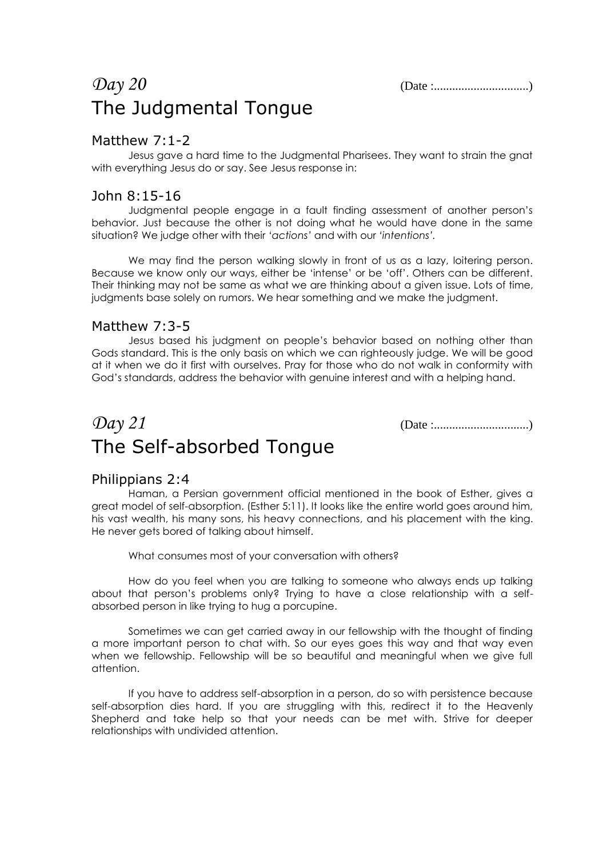### *Day 20* (Date :...............................) The Judgmental Tongue

#### Matthew 7:1-2

Jesus gave a hard time to the Judgmental Pharisees. They want to strain the gnat with everything Jesus do or say. See Jesus response in:

#### John 8:15-16

Judgmental people engage in a fault finding assessment of another person's behavior. Just because the other is not doing what he would have done in the same situation? We judge other with their *'actions'* and with our *'intentions'.*

We may find the person walking slowly in front of us as a lazy, loitering person. Because we know only our ways, either be 'intense' or be 'off'. Others can be different. Their thinking may not be same as what we are thinking about a given issue. Lots of time, judgments base solely on rumors. We hear something and we make the judgment.

#### Matthew 7:3-5

Jesus based his judgment on people's behavior based on nothing other than Gods standard. This is the only basis on which we can righteously judge. We will be good at it when we do it first with ourselves. Pray for those who do not walk in conformity with God's standards, address the behavior with genuine interest and with a helping hand.

## *Day 21* (Date :...............................) The Self-absorbed Tongue

#### Philippians 2:4

Haman, a Persian government official mentioned in the book of Esther, gives a great model of self-absorption. (Esther 5:11). It looks like the entire world goes around him, his vast wealth, his many sons, his heavy connections, and his placement with the king. He never gets bored of talking about himself.

What consumes most of your conversation with others?

How do you feel when you are talking to someone who always ends up talking about that person's problems only? Trying to have a close relationship with a selfabsorbed person in like trying to hug a porcupine.

Sometimes we can get carried away in our fellowship with the thought of finding a more important person to chat with. So our eyes goes this way and that way even when we fellowship. Fellowship will be so beautiful and meaningful when we give full attention.

If you have to address self-absorption in a person, do so with persistence because self-absorption dies hard. If you are struggling with this, redirect it to the Heavenly Shepherd and take help so that your needs can be met with. Strive for deeper relationships with undivided attention.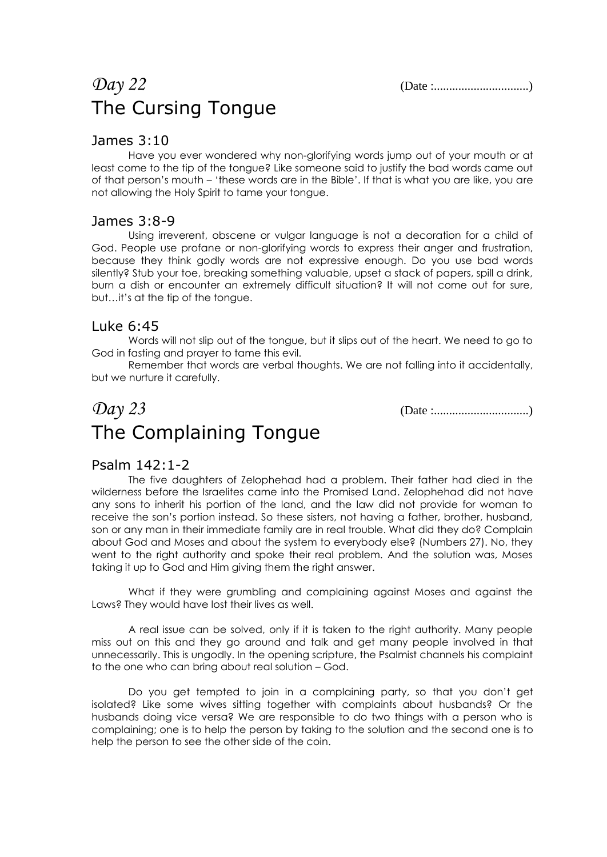## *Day 22* (Date :...............................) The Cursing Tongue

#### James 3:10

Have you ever wondered why non-glorifying words jump out of your mouth or at least come to the tip of the tongue? Like someone said to justify the bad words came out of that person's mouth – 'these words are in the Bible'. If that is what you are like, you are not allowing the Holy Spirit to tame your tongue.

#### James 3:8-9

Using irreverent, obscene or vulgar language is not a decoration for a child of God. People use profane or non-glorifying words to express their anger and frustration, because they think godly words are not expressive enough. Do you use bad words silently? Stub your toe, breaking something valuable, upset a stack of papers, spill a drink, burn a dish or encounter an extremely difficult situation? It will not come out for sure, but…it's at the tip of the tongue.

#### Luke 6:45

Words will not slip out of the tongue, but it slips out of the heart. We need to go to God in fasting and prayer to tame this evil.

Remember that words are verbal thoughts. We are not falling into it accidentally, but we nurture it carefully.

### *Day 23* (Date :...............................) The Complaining Tongue

### Psalm 142:1-2

The five daughters of Zelophehad had a problem. Their father had died in the wilderness before the Israelites came into the Promised Land. Zelophehad did not have any sons to inherit his portion of the land, and the law did not provide for woman to receive the son's portion instead. So these sisters, not having a father, brother, husband, son or any man in their immediate family are in real trouble. What did they do? Complain about God and Moses and about the system to everybody else? (Numbers 27). No, they went to the right authority and spoke their real problem. And the solution was, Moses taking it up to God and Him giving them the right answer.

What if they were grumbling and complaining against Moses and against the Laws? They would have lost their lives as well.

A real issue can be solved, only if it is taken to the right authority. Many people miss out on this and they go around and talk and get many people involved in that unnecessarily. This is ungodly. In the opening scripture, the Psalmist channels his complaint to the one who can bring about real solution – God.

Do you get tempted to join in a complaining party, so that you don't get isolated? Like some wives sitting together with complaints about husbands? Or the husbands doing vice versa? We are responsible to do two things with a person who is complaining; one is to help the person by taking to the solution and the second one is to help the person to see the other side of the coin.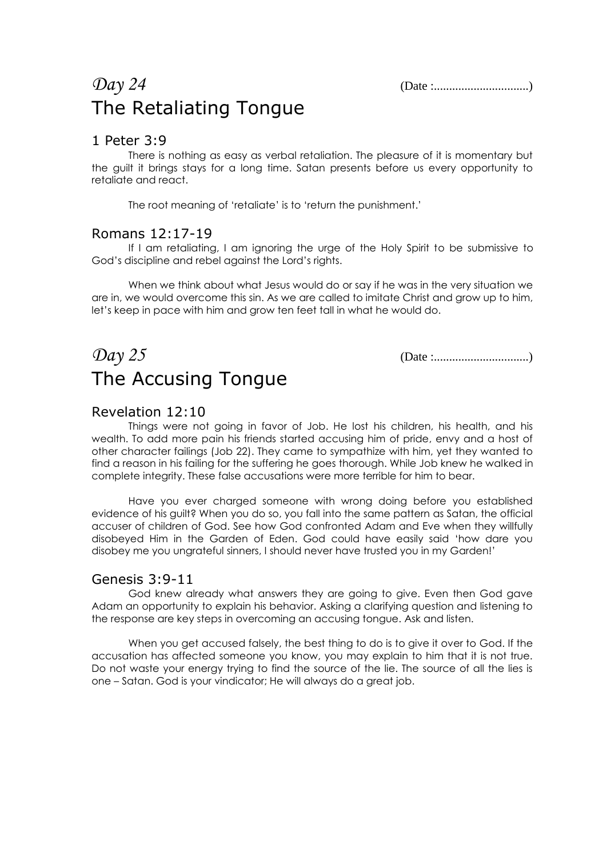### *Day 24* (Date :...............................) The Retaliating Tongue

#### 1 Peter 3:9

There is nothing as easy as verbal retaliation. The pleasure of it is momentary but the guilt it brings stays for a long time. Satan presents before us every opportunity to retaliate and react.

The root meaning of 'retaliate' is to 'return the punishment.'

#### Romans 12:17-19

If I am retaliating, I am ignoring the urge of the Holy Spirit to be submissive to God's discipline and rebel against the Lord's rights.

When we think about what Jesus would do or say if he was in the very situation we are in, we would overcome this sin. As we are called to imitate Christ and grow up to him, let's keep in pace with him and grow ten feet tall in what he would do.

### *Day 25* (Date :...............................) The Accusing Tongue

#### Revelation 12:10

Things were not going in favor of Job. He lost his children, his health, and his wealth. To add more pain his friends started accusing him of pride, envy and a host of other character failings (Job 22). They came to sympathize with him, yet they wanted to find a reason in his failing for the suffering he goes thorough. While Job knew he walked in complete integrity. These false accusations were more terrible for him to bear.

Have you ever charged someone with wrong doing before you established evidence of his guilt? When you do so, you fall into the same pattern as Satan, the official accuser of children of God. See how God confronted Adam and Eve when they willfully disobeyed Him in the Garden of Eden. God could have easily said 'how dare you disobey me you ungrateful sinners, I should never have trusted you in my Garden!'

#### Genesis 3:9-11

God knew already what answers they are going to give. Even then God gave Adam an opportunity to explain his behavior. Asking a clarifying question and listening to the response are key steps in overcoming an accusing tongue. Ask and listen.

When you get accused falsely, the best thing to do is to give it over to God. If the accusation has affected someone you know, you may explain to him that it is not true. Do not waste your energy trying to find the source of the lie. The source of all the lies is one – Satan. God is your vindicator; He will always do a great job.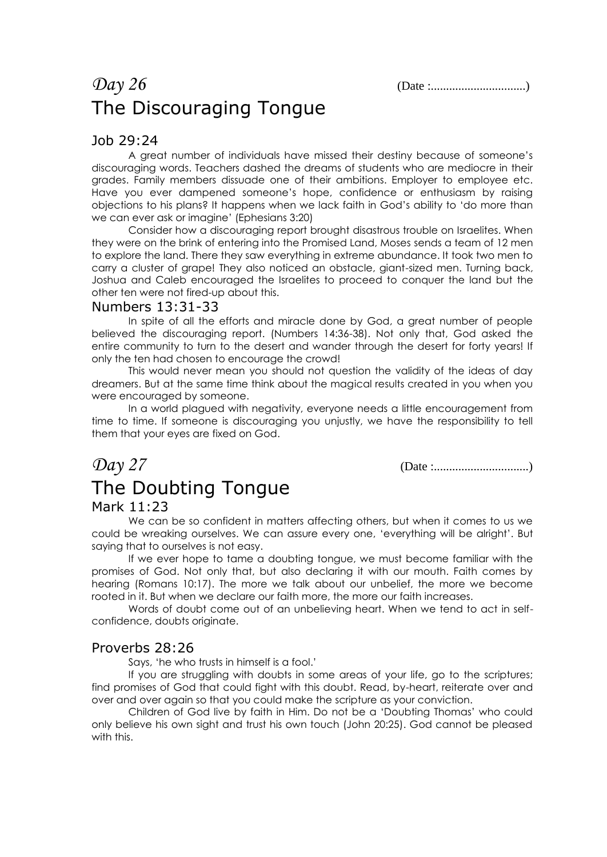## *Day 26* (Date :...............................) The Discouraging Tongue

#### Job 29:24

A great number of individuals have missed their destiny because of someone's discouraging words. Teachers dashed the dreams of students who are mediocre in their grades. Family members dissuade one of their ambitions. Employer to employee etc. Have you ever dampened someone's hope, confidence or enthusiasm by raising objections to his plans? It happens when we lack faith in God's ability to 'do more than we can ever ask or imagine' (Ephesians 3:20)

Consider how a discouraging report brought disastrous trouble on Israelites. When they were on the brink of entering into the Promised Land, Moses sends a team of 12 men to explore the land. There they saw everything in extreme abundance. It took two men to carry a cluster of grape! They also noticed an obstacle, giant-sized men. Turning back, Joshua and Caleb encouraged the Israelites to proceed to conquer the land but the other ten were not fired-up about this.

#### Numbers 13:31-33

In spite of all the efforts and miracle done by God, a great number of people believed the discouraging report. (Numbers 14:36-38). Not only that, God asked the entire community to turn to the desert and wander through the desert for forty years! If only the ten had chosen to encourage the crowd!

This would never mean you should not question the validity of the ideas of day dreamers. But at the same time think about the magical results created in you when you were encouraged by someone.

In a world plagued with negativity, everyone needs a little encouragement from time to time. If someone is discouraging you unjustly, we have the responsibility to tell them that your eyes are fixed on God.

*Day 27* (Date :...............................)

# The Doubting Tongue

#### Mark 11:23

We can be so confident in matters affecting others, but when it comes to us we could be wreaking ourselves. We can assure every one, 'everything will be alright'. But saying that to ourselves is not easy.

If we ever hope to tame a doubting tongue, we must become familiar with the promises of God. Not only that, but also declaring it with our mouth. Faith comes by hearing (Romans 10:17). The more we talk about our unbelief, the more we become rooted in it. But when we declare our faith more, the more our faith increases.

Words of doubt come out of an unbelieving heart. When we tend to act in selfconfidence, doubts originate.

#### Proverbs 28:26

Says, 'he who trusts in himself is a fool.'

If you are struggling with doubts in some areas of your life, go to the scriptures; find promises of God that could fight with this doubt. Read, by-heart, reiterate over and over and over again so that you could make the scripture as your conviction.

Children of God live by faith in Him. Do not be a 'Doubting Thomas' who could only believe his own sight and trust his own touch (John 20:25). God cannot be pleased with this.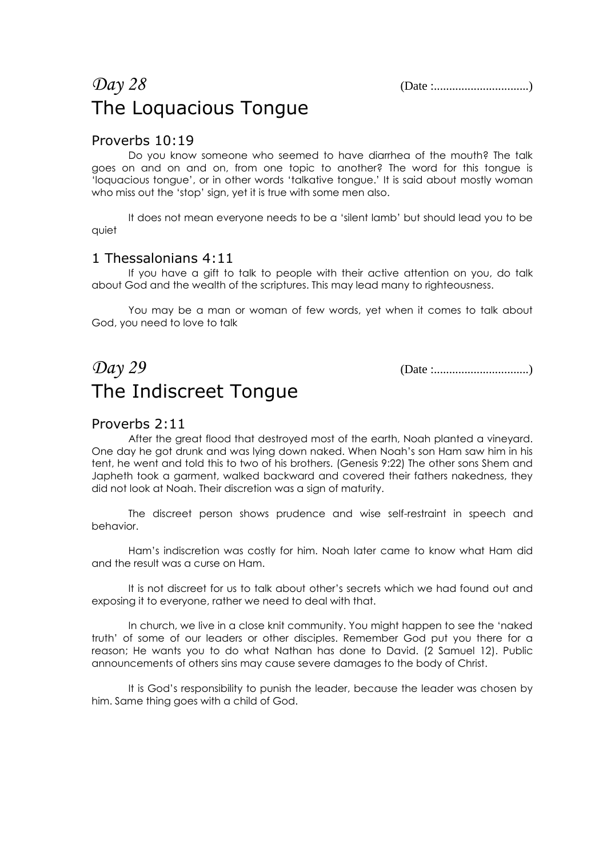## *Day 28* (Date :...............................) The Loquacious Tongue

#### Proverbs 10:19

Do you know someone who seemed to have diarrhea of the mouth? The talk goes on and on and on, from one topic to another? The word for this tongue is 'loquacious tongue', or in other words 'talkative tongue.' It is said about mostly woman who miss out the 'stop' sign, yet it is true with some men also.

It does not mean everyone needs to be a 'silent lamb' but should lead you to be quiet

#### 1 Thessalonians 4:11

If you have a gift to talk to people with their active attention on you, do talk about God and the wealth of the scriptures. This may lead many to righteousness.

You may be a man or woman of few words, yet when it comes to talk about God, you need to love to talk

*Day 29* (Date :...............................) The Indiscreet Tongue

#### Proverbs 2:11

After the great flood that destroyed most of the earth, Noah planted a vineyard. One day he got drunk and was lying down naked. When Noah's son Ham saw him in his tent, he went and told this to two of his brothers. (Genesis 9:22) The other sons Shem and Japheth took a garment, walked backward and covered their fathers nakedness, they did not look at Noah. Their discretion was a sign of maturity.

The discreet person shows prudence and wise self-restraint in speech and behavior.

Ham's indiscretion was costly for him. Noah later came to know what Ham did and the result was a curse on Ham.

It is not discreet for us to talk about other's secrets which we had found out and exposing it to everyone, rather we need to deal with that.

In church, we live in a close knit community. You might happen to see the 'naked truth' of some of our leaders or other disciples. Remember God put you there for a reason; He wants you to do what Nathan has done to David. (2 Samuel 12). Public announcements of others sins may cause severe damages to the body of Christ.

It is God's responsibility to punish the leader, because the leader was chosen by him. Same thing goes with a child of God.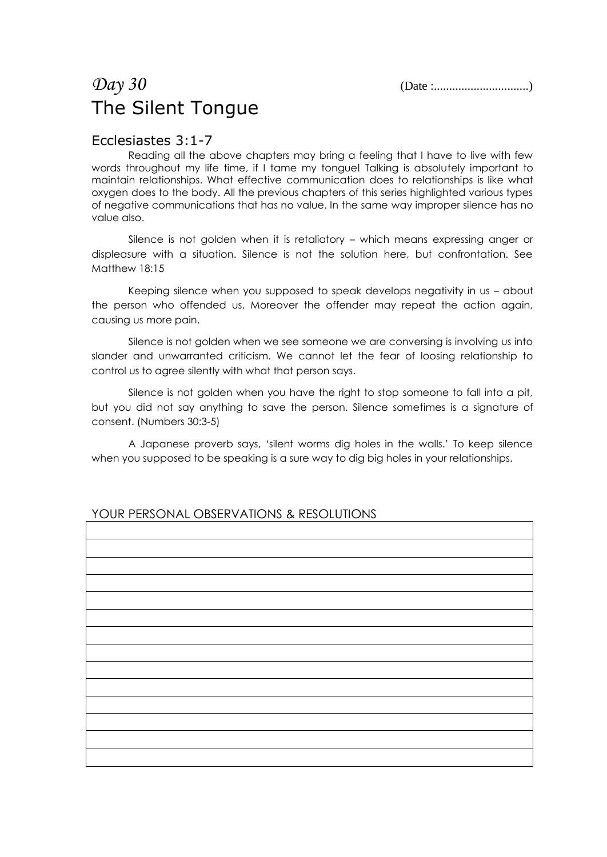### *Day 30* (Date :...............................) The Silent Tongue

#### Ecclesiastes 3:1-7

Reading all the above chapters may bring a feeling that I have to live with few words throughout my life time, if I tame my tongue! Talking is absolutely important to maintain relationships. What effective communication does to relationships is like what oxygen does to the body. All the previous chapters of this series highlighted various types of negative communications that has no value. In the same way improper silence has no value also.

Silence is not golden when it is retaliatory – which means expressing anger or displeasure with a situation. Silence is not the solution here, but confrontation. See Matthew 18:15

Keeping silence when you supposed to speak develops negativity in us – about the person who offended us. Moreover the offender may repeat the action again, causing us more pain.

Silence is not golden when we see someone we are conversing is involving us into slander and unwarranted criticism. We cannot let the fear of loosing relationship to control us to agree silently with what that person says.

Silence is not golden when you have the right to stop someone to fall into a pit, but you did not say anything to save the person. Silence sometimes is a signature of consent. (Numbers 30:3-5)

A Japanese proverb says, 'silent worms dig holes in the walls.' To keep silence when you supposed to be speaking is a sure way to dig big holes in your relationships.

### YOUR PERSONAL OBSERVATIONS & RESOLUTIONS